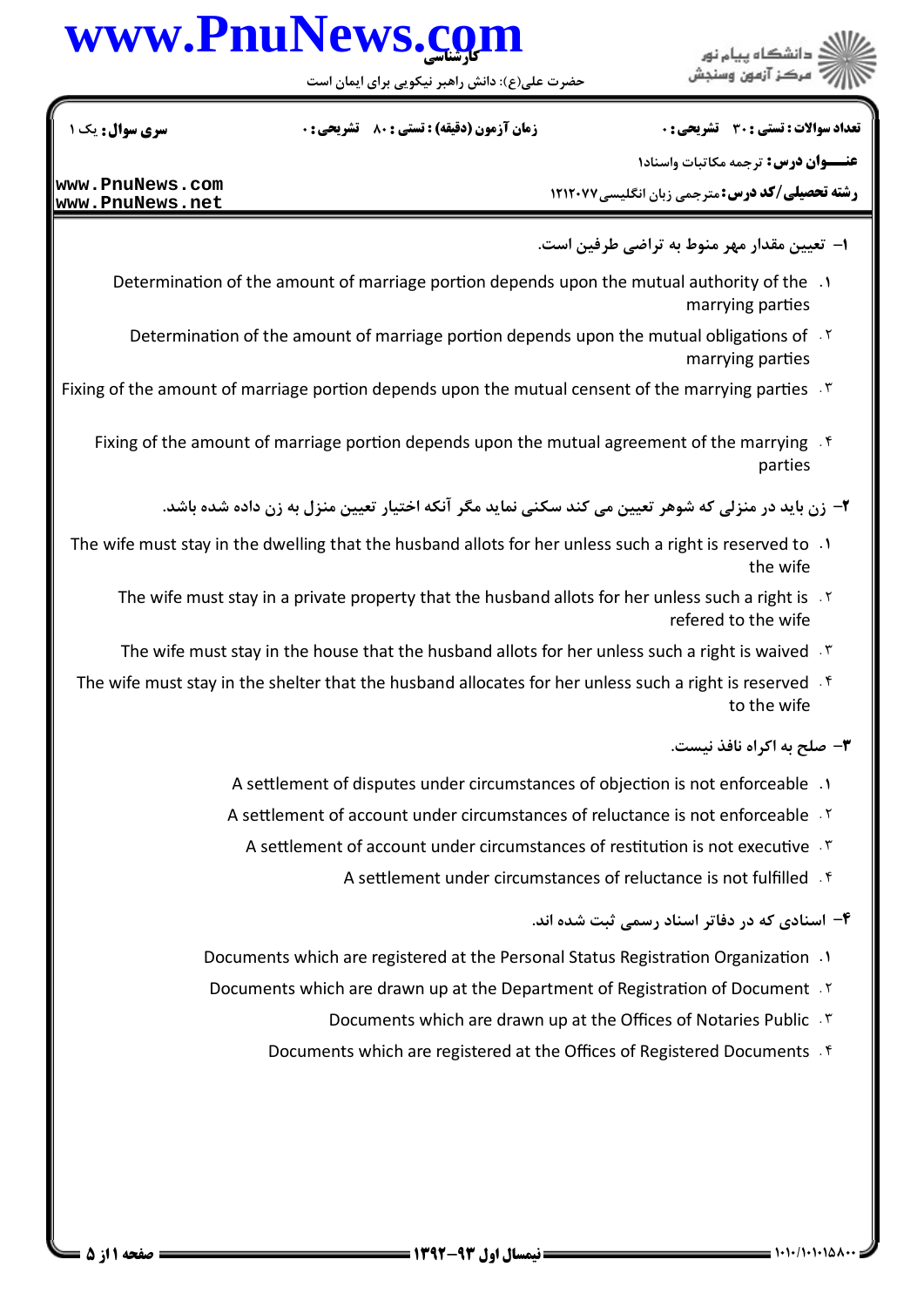# www.PnuNews.com

.<br>د دانشڪاه پيام نور<br>: " مرڪز آزمون وسنڊش

حضرت علی(ع): دانش راهبر نیکویی برای ایمان اس

تعداد سوالات : تستى : 30 ٪ تشريحي : 0

**زمان آزمون (دقیقه) : تستی : 80 گشریحی: 0** 

**سری سوال :** یک ۱

**عنـــوان درس:** ترجمه مکاتبات واسناد۱

**رشته تحصیلی/کد درس:** مترجمی زبان انگلیسی۷۷۲۱۲۰۷۷

www.PnuNews.com www.PnuNews.net

۱– تعیین مقدار مهر منوط به تراضی طرفین است.

- 1. Determination of the amount of marriage portion depends upon the mutual authority of the marrying parties
	- Determination of the amount of marriage portion depends upon the mutual obligations of 15 marrying parties
- Fixing of the amount of marriage portion depends upon the mutual censent of the marrying parties  $\mathcal{F}$ 
	- Fixing of the amount of marriage portion depends upon the mutual agreement of the marrying  $\mathcal{A}$ parties

۲– زن باید در منزلی که شوهر تعیین می کند سکنی نماید مگر آنکه اختیار تعیین منزل به زن داده شده باشد.

- 1. The wife must stay in the dwelling that the husband allots for her unless such a right is reserved to the wife
	- The wife must stay in a private property that the husband allots for her unless such a right is . Y refered to the wife
	- The wife must stay in the house that the husband allots for her unless such a right is waived . \*
- The wife must stay in the shelter that the husband allocates for her unless such a right is reserved. If to the wife

۳- صلح به اکراه نافذ نیست.

- A settlement of disputes under circumstances of objection is not enforceable .1
- A settlement of account under circumstances of reluctance is not enforceable . Y
	- A settlement of account under circumstances of restitution is not executive.
		- A settlement under circumstances of reluctance is not fulfilled. f
			- ۴- اسنادی که در دفاتر اسناد رسمی ثبت شده اند.
- Documents which are registered at the Personal Status Registration Organization .1
- Documents which are drawn up at the Department of Registration of Document . Y
	- Documents which are drawn up at the Offices of Notaries Public . \v
	- Documents which are registered at the Offices of Registered Documents . f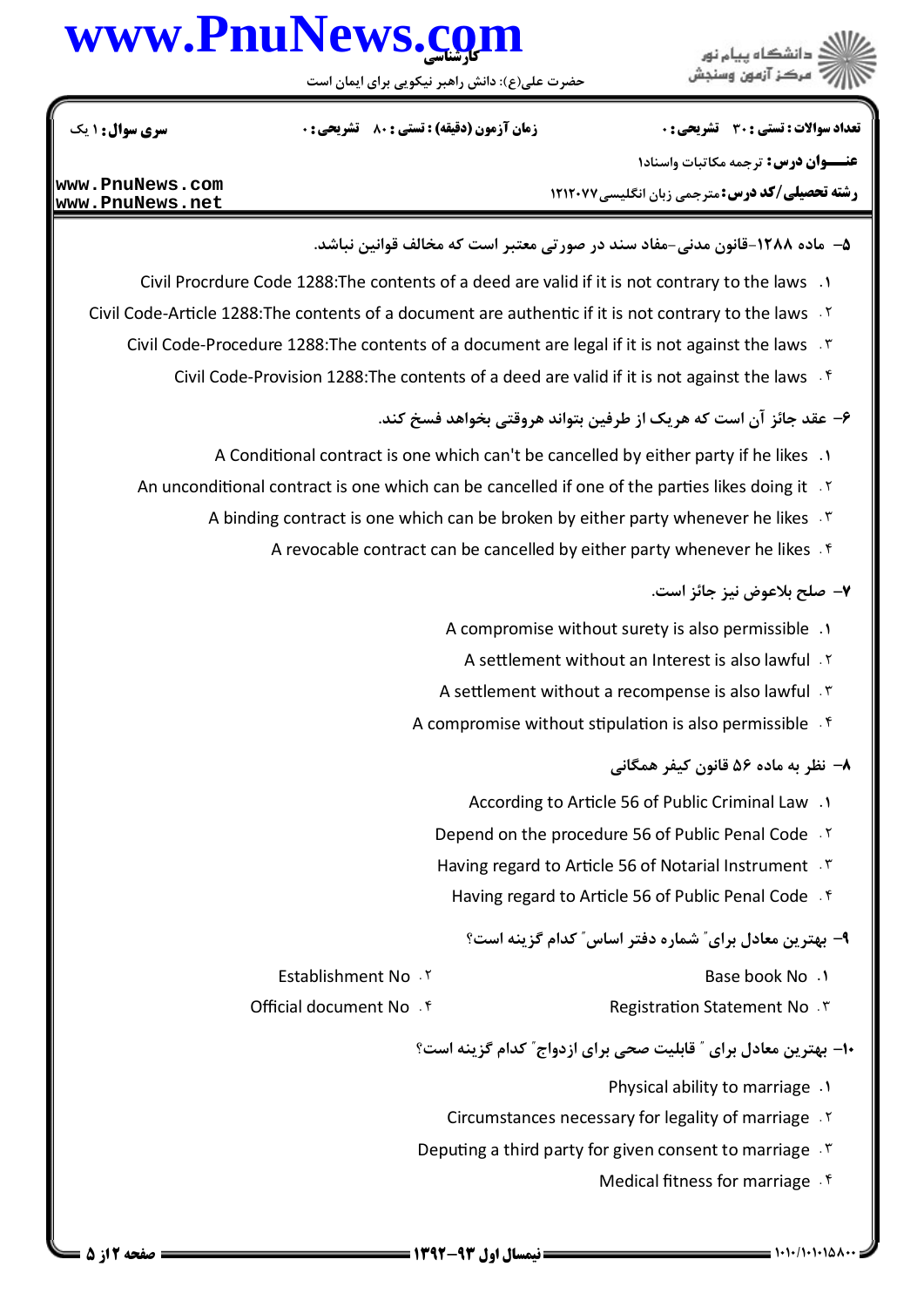# www.PnuNews.com

حضرت علی(ع): دانش راهبر نیکویی برای ایمان اس

ا<br>ڪ دانشڪاه پيام نور<br>ج - مرڪز آزمون وسنڊش

تعداد سوالات : تستى : 30 ٪ تشريحي : 0

**زمان آزمون (دقیقه) : تستی : 80 ٪ تشریحی : 0** 

**سری سوال : ۱ یک** 

عنــوان درس: ترجمه مكاتبات واسناد١

**رشته تحصیلی/کد درس:** مترجمی زبان انگلیسی۷۷۲۱۲۰۷۷

www.PnuNews.com www.PnuNews.net

۵– ماده ۱۲۸۸-قانون مدنی-مفاد سند در صورتی معتبر است که مخالف قوانین نباشد.

- 1. Civil Procrdure Code 1288: The contents of a deed are valid if it is not contrary to the laws
- Civil Code-Article 1288: The contents of a document are authentic if it is not contrary to the laws . Y
	- Civil Code-Procedure 1288: The contents of a document are legal if it is not against the laws . \*
		- Civil Code-Provision 1288: The contents of a deed are valid if it is not against the laws . f

۶– عقد جائز آن است که هر یک از طرفین بتواند هروقتی بخواهد فسخ کند.

- A Conditional contract is one which can't be cancelled by either party if he likes 1
- An unconditional contract is one which can be cancelled if one of the parties likes doing it 15
	- A binding contract is one which can be broken by either party whenever he likes . T
		- A revocable contract can be cancelled by either party whenever he likes . f

#### ٧- صلح بلاعوض نيز جائز است.

- A compromise without surety is also permissible .1
	- A settlement without an Interest is also lawful . Y
- A settlement without a recompense is also lawful F
- A compromise without stipulation is also permissible . f

#### ۸– نظر به ماده ۵۶ قانون کیفر همگانی

- According to Article 56 of Public Criminal Law .1
- Depend on the procedure 56 of Public Penal Code . Y
- Having regard to Article 56 of Notarial Instrument .
	- Having regard to Article 56 of Public Penal Code . f

### ۹- بهترین معادل برای" شماره دفتر اساس" کدام گز تنه است؟

- Base book No .1
- Registration Statement No. ٣.

Establishment No. Y

Official document No . f

### •۱- بهترین معادل برای ″ قابلیت صحی برای ازدواج″ کدام گزینه است؟

- Physical ability to marriage .1
- Circumstances necessary for legality of marriage . Y
- Deputing a third party for given consent to marriage . \varri
	- Medical fitness for marriage . f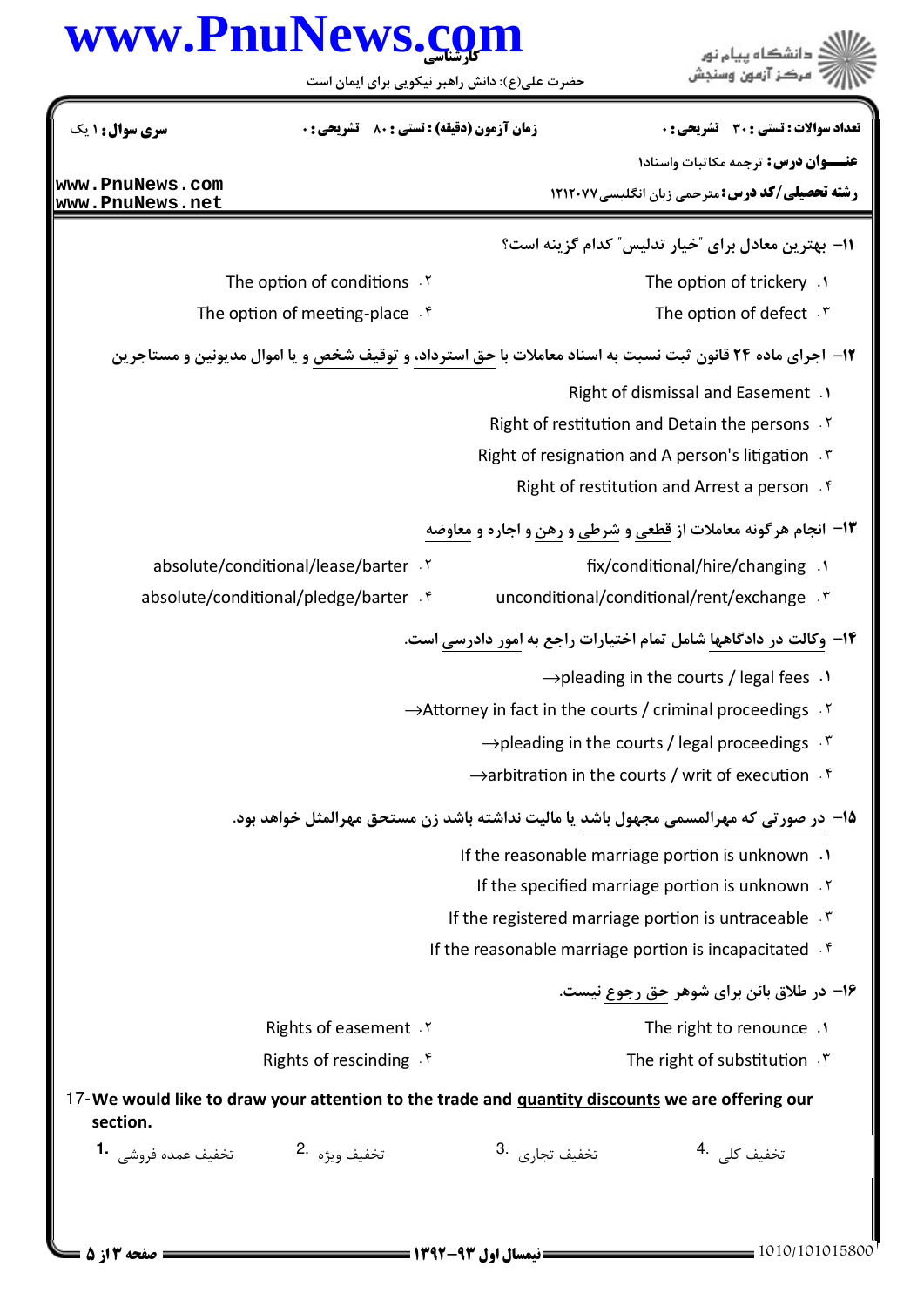|                                    | حضرت علی(ع): دانش راهبر نیکویی برای ایمان است                                                              | www.PnuNews.com            | دانشگاه پیام نور                                                                                     |
|------------------------------------|------------------------------------------------------------------------------------------------------------|----------------------------|------------------------------------------------------------------------------------------------------|
| سری سوال: ۱ یک                     | <b>زمان آزمون (دقیقه) : تستی : 80 ٪ تشریحی : 0</b>                                                         |                            | تعداد سوالات : تستي : 30 ٪ تشريحي : 0                                                                |
| www.PnuNews.com<br>www.PnuNews.net |                                                                                                            |                            | <b>عنـــوان درس:</b> ترجمه مكاتبات واسناد١<br><b>رشته تحصیلی/کد درس:</b> مترجمی زبان انگلیسی۷۷۲۱۲۰۷۷ |
|                                    |                                                                                                            |                            | 11- بهترین معادل برای "خیار تدلیس" کدام گزینه است؟                                                   |
|                                    | The option of conditions . Y                                                                               |                            | The option of trickery .1                                                                            |
|                                    | The option of meeting-place . $f$                                                                          |                            | The option of defect $\cdot$ $\cdot$                                                                 |
|                                    | ۱۲- اجرای ماده ۲۴ قانون ثبت نسبت به اسناد معاملات با حق استرداد، و توقیف شخص و یا اموال مدیونین و مستاجرین |                            |                                                                                                      |
|                                    |                                                                                                            |                            | Right of dismissal and Easement .1                                                                   |
|                                    |                                                                                                            |                            | Right of restitution and Detain the persons .Y                                                       |
|                                    |                                                                                                            |                            | Right of resignation and A person's litigation .                                                     |
|                                    |                                                                                                            |                            | Right of restitution and Arrest a person f                                                           |
|                                    |                                                                                                            |                            | ۱۳- انجام هرگونه معاملات از <u>قطعي و شرطی و رهن و</u> اجاره و معاوضه                                |
|                                    | absolute/conditional/lease/barter . Y                                                                      |                            | fix/conditional/hire/changing .1                                                                     |
|                                    | absolute/conditional/pledge/barter . f                                                                     |                            | unconditional/conditional/rent/exchange . ٣                                                          |
|                                    |                                                                                                            |                            | ۱۴- وکالت در دادگاهها شامل تمام اختیارات راجع به امور دادرسی است.                                    |
|                                    |                                                                                                            |                            | $\rightarrow$ pleading in the courts / legal fees $\cdot$                                            |
|                                    |                                                                                                            |                            | $\rightarrow$ Attorney in fact in the courts / criminal proceedings $\cdot$ <sup>Y</sup>             |
|                                    |                                                                                                            |                            | $\rightarrow$ pleading in the courts / legal proceedings $\cdot$ <sup>r</sup>                        |
|                                    |                                                                                                            |                            | $\rightarrow$ arbitration in the courts / writ of execution $\cdot$ <sup>6</sup>                     |
|                                    | 1۵– <u>در صورتی که مهرالمسمی مجهول باشد</u> یا مالیت نداشته باشد زن مستحق مهرالمثل خواهد بود.              |                            |                                                                                                      |
|                                    |                                                                                                            |                            | If the reasonable marriage portion is unknown .                                                      |
|                                    |                                                                                                            |                            | If the specified marriage portion is unknown . Y                                                     |
|                                    |                                                                                                            |                            | If the registered marriage portion is untraceable . \vare \mot                                       |
|                                    |                                                                                                            |                            | If the reasonable marriage portion is incapacitated f                                                |
|                                    |                                                                                                            |                            | ۱۶- در طلاق بائن برای شوهر <u>حق رجوع</u> نیست.                                                      |
|                                    | Rights of easement . Y                                                                                     |                            | The right to renounce .1                                                                             |
|                                    | Rights of rescinding . f                                                                                   |                            | The right of substitution $.7$                                                                       |
| section.                           | 17-We would like to draw your attention to the trade and <i>guantity discounts</i> we are offering our     |                            |                                                                                                      |
| تخفيف عمده فروشي ۔1                | تخفيف ويژه 2.                                                                                              | تخفيف تجا <sub>دى</sub> .3 | تخفيف كلى . 4                                                                                        |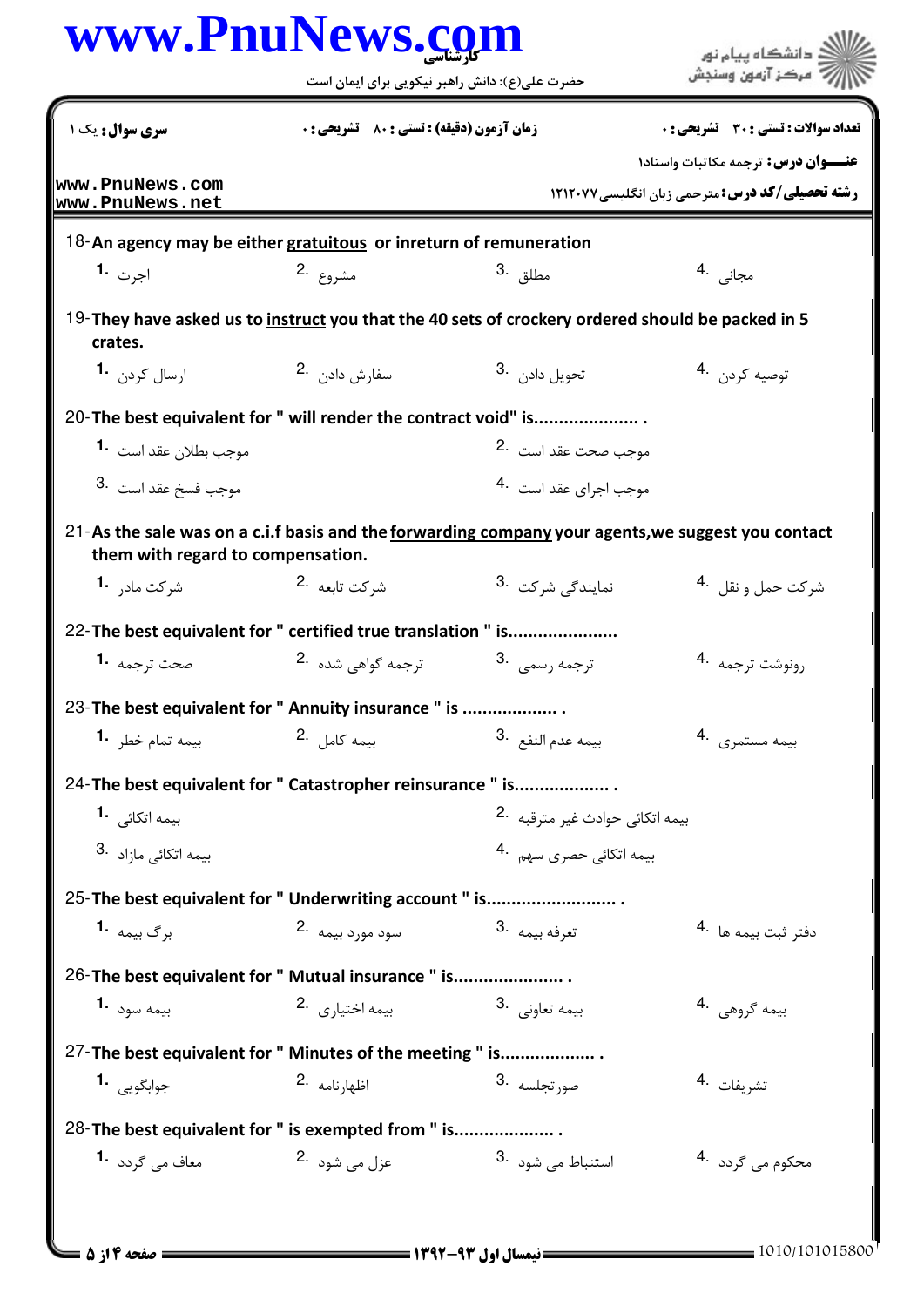|                                                                                                                                                | حضرت علی(ع): دانش راهبر نیکویی برای ایمان است      |                                             | مركز آزمون وسنجش                                                                             |
|------------------------------------------------------------------------------------------------------------------------------------------------|----------------------------------------------------|---------------------------------------------|----------------------------------------------------------------------------------------------|
| سری سوال : یک ۱                                                                                                                                | <b>زمان آزمون (دقیقه) : تستی : 80 ٪ تشریحی : 0</b> |                                             | تعداد سوالات : تستى : 30 ٪ تشريحي : 0                                                        |
| www.PnuNews.com<br>www.PnuNews.net                                                                                                             |                                                    |                                             | عنــوان درس: ترجمه مكاتبات واسناد١<br><b>رشته تحصیلی/کد درس: مترجمی زبان انگلیسی ۱۲۱۲۰۷۷</b> |
| 18-An agency may be either gratuitous or inreturn of remuneration                                                                              |                                                    |                                             |                                                                                              |
| اج <sub>ا</sub> ت 1.                                                                                                                           | مشروع .2                                           | مطلق . <sup>3</sup>                         | مجانی .4                                                                                     |
| 19-They have asked us to instruct you that the 40 sets of crockery ordered should be packed in 5<br>crates.                                    |                                                    |                                             |                                                                                              |
| ارسال کردن 1.                                                                                                                                  | سفارش دادن .2                                      | تحويل دادن . 3                              | توصيه كردن 4.                                                                                |
| 20- The best equivalent for " will render the contract void" is                                                                                |                                                    |                                             |                                                                                              |
| موجب بطلان عقد است <b>1</b> ۰                                                                                                                  |                                                    | موجب صحت عقد است 2.                         |                                                                                              |
| موجب فسخ عقد است .3                                                                                                                            |                                                    | موجب اجراي عقد است .4                       |                                                                                              |
| 21-As the sale was on a c.i.f basis and the <u>forwarding company</u> your agents, we suggest you contact<br>them with regard to compensation. |                                                    |                                             |                                                                                              |
| شركت ماد <sub>ر</sub> 1.                                                                                                                       | شركت تابعه <sup>.2</sup>                           | نمايندگى شركت <sup>.3</sup>                 | شركت حمل و نقل <sup>.4</sup>                                                                 |
| 22-The best equivalent for " certified true translation " is                                                                                   |                                                    |                                             |                                                                                              |
| صحت ترجمه <b>1</b> ۰                                                                                                                           | ترجمه گواهی شده <sup>.2</sup>                      | ترجمه رسمي <sup>3</sup> .                   | رونوشت ترجمه 4.                                                                              |
| 23-The best equivalent for " Annuity insurance " is                                                                                            |                                                    |                                             |                                                                                              |
| بيمه تمام خطر 1.                                                                                                                               | بيمه كامل 2.                                       | بيمه عدم النفع <sup>.3</sup>                | بيمه مستمرى 4.                                                                               |
| 24-The best equivalent for " Catastropher reinsurance " is                                                                                     |                                                    |                                             |                                                                                              |
| بیمه اتکائ <sub>ی</sub> <b>1</b> ۰                                                                                                             |                                                    | بيمه اتكائ <sub>ى</sub> حوادث غير مترقبه 2. |                                                                                              |
| بیمه اتکائ <sub>ی</sub> مازاد 3.                                                                                                               |                                                    | بیمه اتکائی حصری سهم .4                     |                                                                                              |
| 25-The best equivalent for " Underwriting account " is                                                                                         |                                                    |                                             |                                                                                              |
| برگ بیمه <b>1.</b>                                                                                                                             | سود مورد بیمه 2.                                   | تعرفه بيمه 3.                               | دفتر ثبت بيمه ها 4.                                                                          |
| 26-The best equivalent for " Mutual insurance " is                                                                                             |                                                    |                                             |                                                                                              |
| بيمه سود <b>1.</b>                                                                                                                             | بيمه اختيا <sub>دى</sub> 2.                        | بیمه تعاونی .3                              | بيمه گروهي .4                                                                                |
| 27-The best equivalent for " Minutes of the meeting " is                                                                                       |                                                    |                                             |                                                                                              |
| جوابگويي 1.                                                                                                                                    | اظهارنامه 2.                                       | صور تجلسه <sup>3</sup> ۰                    | تشريفات 4.                                                                                   |
| 28-The best equivalent for " is exempted from " is                                                                                             |                                                    |                                             |                                                                                              |
| معاف می گردد <b>1</b> ۰                                                                                                                        | عزل می شود 2.                                      | 3. استنباط می شود                           | محکوم می گردد۔ <sup>4</sup>                                                                  |